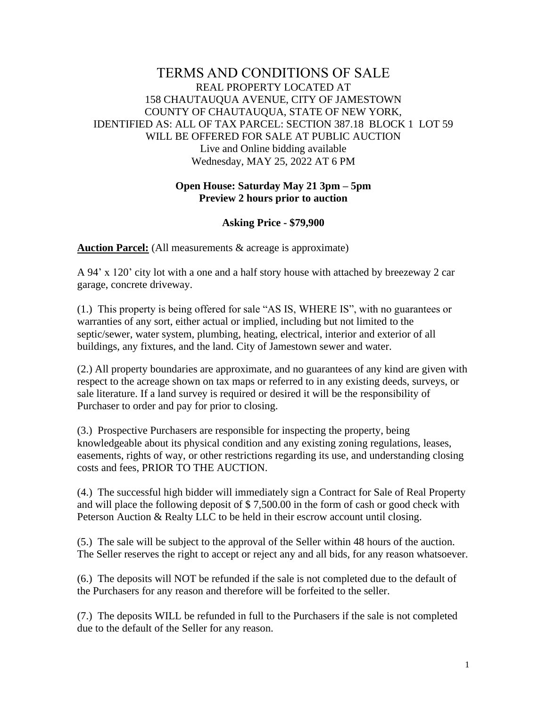## TERMS AND CONDITIONS OF SALE REAL PROPERTY LOCATED AT 158 CHAUTAUQUA AVENUE, CITY OF JAMESTOWN COUNTY OF CHAUTAUQUA, STATE OF NEW YORK, IDENTIFIED AS: ALL OF TAX PARCEL: SECTION 387.18 BLOCK 1 LOT 59 WILL BE OFFERED FOR SALE AT PUBLIC AUCTION Live and Online bidding available Wednesday, MAY 25, 2022 AT 6 PM

## **Open House: Saturday May 21 3pm – 5pm Preview 2 hours prior to auction**

## **Asking Price - \$79,900**

**Auction Parcel:** (All measurements & acreage is approximate)

A 94' x 120' city lot with a one and a half story house with attached by breezeway 2 car garage, concrete driveway.

(1.) This property is being offered for sale "AS IS, WHERE IS", with no guarantees or warranties of any sort, either actual or implied, including but not limited to the septic/sewer, water system, plumbing, heating, electrical, interior and exterior of all buildings, any fixtures, and the land. City of Jamestown sewer and water.

(2.) All property boundaries are approximate, and no guarantees of any kind are given with respect to the acreage shown on tax maps or referred to in any existing deeds, surveys, or sale literature. If a land survey is required or desired it will be the responsibility of Purchaser to order and pay for prior to closing.

(3.) Prospective Purchasers are responsible for inspecting the property, being knowledgeable about its physical condition and any existing zoning regulations, leases, easements, rights of way, or other restrictions regarding its use, and understanding closing costs and fees, PRIOR TO THE AUCTION.

(4.) The successful high bidder will immediately sign a Contract for Sale of Real Property and will place the following deposit of \$ 7,500.00 in the form of cash or good check with Peterson Auction & Realty LLC to be held in their escrow account until closing.

(5.) The sale will be subject to the approval of the Seller within 48 hours of the auction. The Seller reserves the right to accept or reject any and all bids, for any reason whatsoever.

(6.) The deposits will NOT be refunded if the sale is not completed due to the default of the Purchasers for any reason and therefore will be forfeited to the seller.

(7.) The deposits WILL be refunded in full to the Purchasers if the sale is not completed due to the default of the Seller for any reason.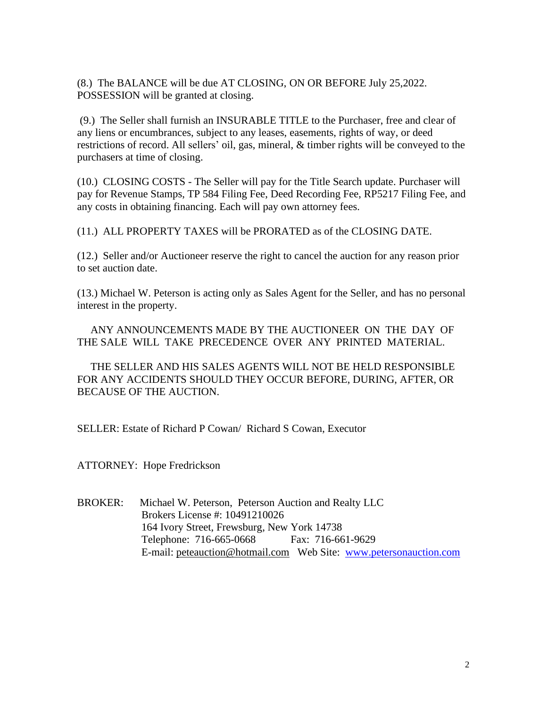(8.) The BALANCE will be due AT CLOSING, ON OR BEFORE July 25,2022. POSSESSION will be granted at closing.

(9.) The Seller shall furnish an INSURABLE TITLE to the Purchaser, free and clear of any liens or encumbrances, subject to any leases, easements, rights of way, or deed restrictions of record. All sellers' oil, gas, mineral, & timber rights will be conveyed to the purchasers at time of closing.

(10.) CLOSING COSTS - The Seller will pay for the Title Search update. Purchaser will pay for Revenue Stamps, TP 584 Filing Fee, Deed Recording Fee, RP5217 Filing Fee, and any costs in obtaining financing. Each will pay own attorney fees.

(11.) ALL PROPERTY TAXES will be PRORATED as of the CLOSING DATE.

(12.) Seller and/or Auctioneer reserve the right to cancel the auction for any reason prior to set auction date.

(13.) Michael W. Peterson is acting only as Sales Agent for the Seller, and has no personal interest in the property.

 ANY ANNOUNCEMENTS MADE BY THE AUCTIONEER ON THE DAY OF THE SALE WILL TAKE PRECEDENCE OVER ANY PRINTED MATERIAL.

 THE SELLER AND HIS SALES AGENTS WILL NOT BE HELD RESPONSIBLE FOR ANY ACCIDENTS SHOULD THEY OCCUR BEFORE, DURING, AFTER, OR BECAUSE OF THE AUCTION.

SELLER: Estate of Richard P Cowan/ Richard S Cowan, Executor

ATTORNEY: Hope Fredrickson

BROKER: Michael W. Peterson, Peterson Auction and Realty LLC Brokers License #: 10491210026 164 Ivory Street, Frewsburg, New York 14738 Telephone: 716-665-0668 Fax: 716-661-9629 E-mail: peteauction@hotmail.com Web Site: [www.petersonauction.com](http://www.petersonauction.com/)